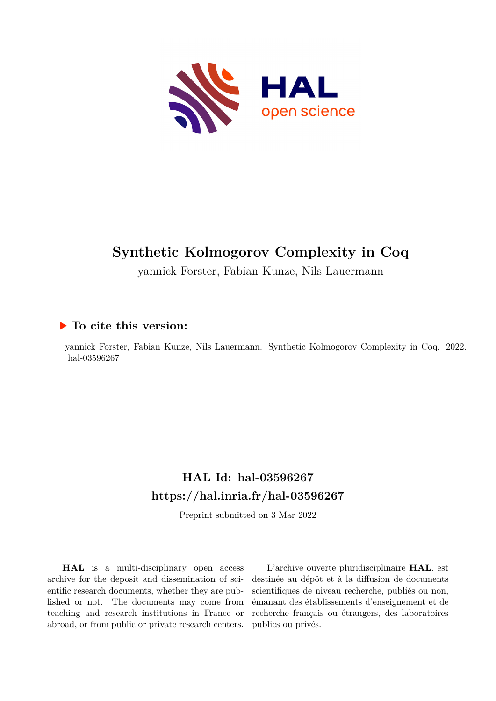

yannick Forster, Fabian Kunze, Nils Lauermann

# **To cite this version:**

yannick Forster, Fabian Kunze, Nils Lauermann. Synthetic Kolmogorov Complexity in Coq. 2022. hal-03596267

# **HAL Id: hal-03596267 <https://hal.inria.fr/hal-03596267>**

Preprint submitted on 3 Mar 2022

**HAL** is a multi-disciplinary open access archive for the deposit and dissemination of scientific research documents, whether they are published or not. The documents may come from teaching and research institutions in France or abroad, or from public or private research centers.

L'archive ouverte pluridisciplinaire **HAL**, est destinée au dépôt et à la diffusion de documents scientifiques de niveau recherche, publiés ou non, émanant des établissements d'enseignement et de recherche français ou étrangers, des laboratoires publics ou privés.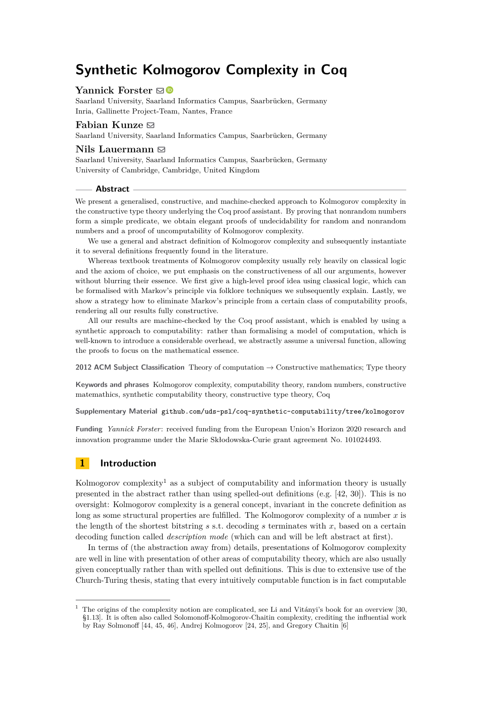## **Yannick Forster** ⊠<sup>■</sup>

Saarland University, Saarland Informatics Campus, Saarbrücken, Germany Inria, Gallinette Project-Team, Nantes, France

## **Fabian Kunze** ⊠

Saarland University, Saarland Informatics Campus, Saarbrücken, Germany

## Nils Lauermann  $\boxdot$

Saarland University, Saarland Informatics Campus, Saarbrücken, Germany University of Cambridge, Cambridge, United Kingdom

### **Abstract**

We present a generalised, constructive, and machine-checked approach to Kolmogorov complexity in the constructive type theory underlying the Coq proof assistant. By proving that nonrandom numbers form a simple predicate, we obtain elegant proofs of undecidability for random and nonrandom numbers and a proof of uncomputability of Kolmogorov complexity.

We use a general and abstract definition of Kolmogorov complexity and subsequently instantiate it to several definitions frequently found in the literature.

Whereas textbook treatments of Kolmogorov complexity usually rely heavily on classical logic and the axiom of choice, we put emphasis on the constructiveness of all our arguments, however without blurring their essence. We first give a high-level proof idea using classical logic, which can be formalised with Markov's principle via folklore techniques we subsequently explain. Lastly, we show a strategy how to eliminate Markov's principle from a certain class of computability proofs, rendering all our results fully constructive.

All our results are machine-checked by the Coq proof assistant, which is enabled by using a synthetic approach to computability: rather than formalising a model of computation, which is well-known to introduce a considerable overhead, we abstractly assume a universal function, allowing the proofs to focus on the mathematical essence.

**2012 ACM Subject Classification** Theory of computation → Constructive mathematics; Type theory

**Keywords and phrases** Kolmogorov complexity, computability theory, random numbers, constructive matemathics, synthetic computability theory, constructive type theory, Coq

**Supplementary Material** [github.com/uds-psl/coq-synthetic-computability/tree/kolmogorov](https://github.com/uds-psl/coq-synthetic-computability/tree/kolmogorov)

**Funding** *Yannick Forster*: received funding from the European Union's Horizon 2020 research and innovation programme under the Marie Skłodowska-Curie grant agreement No. 101024493.

# **1 Introduction**

Kolmogorov complexity<sup>1</sup> as a subject of computability and information theory is usually presented in the abstract rather than using spelled-out definitions (e.g. [42, 30]). This is no oversight: Kolmogorov complexity is a general concept, invariant in the concrete definition as long as some structural properties are fulfilled. The Kolmogorov complexity of a number *x* is the length of the shortest bitstring  $s$  s.t. decoding  $s$  terminates with  $x$ , based on a certain decoding function called *description mode* (which can and will be left abstract at first).

In terms of (the abstraction away from) details, presentations of Kolmogorov complexity are well in line with presentation of other areas of computability theory, which are also usually given conceptually rather than with spelled out definitions. This is due to extensive use of the Church-Turing thesis, stating that every intuitively computable function is in fact computable

 $1$  The origins of the complexity notion are complicated, see Li and Vitányi's book for an overview [30, §1.13]. It is often also called Solomonoff-Kolmogorov-Chaitin complexity, crediting the influential work by Ray Solmonoff [44, 45, 46], Andrej Kolmogorov [24, 25], and Gregory Chaitin [6]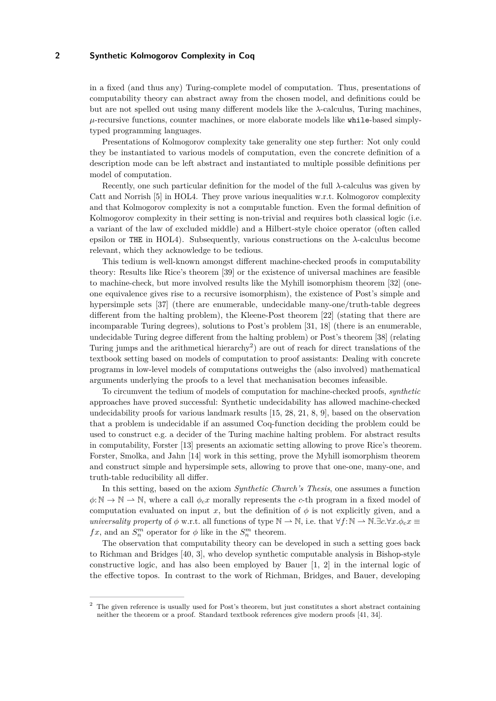in a fixed (and thus any) Turing-complete model of computation. Thus, presentations of computability theory can abstract away from the chosen model, and definitions could be but are not spelled out using many different models like the *λ*-calculus, Turing machines,  $\mu$ -recursive functions, counter machines, or more elaborate models like while-based simplytyped programming languages.

Presentations of Kolmogorov complexity take generality one step further: Not only could they be instantiated to various models of computation, even the concrete definition of a description mode can be left abstract and instantiated to multiple possible definitions per model of computation.

Recently, one such particular definition for the model of the full *λ*-calculus was given by Catt and Norrish [5] in HOL4. They prove various inequalities w.r.t. Kolmogorov complexity and that Kolmogorov complexity is not a computable function. Even the formal definition of Kolmogorov complexity in their setting is non-trivial and requires both classical logic (i.e. a variant of the law of excluded middle) and a Hilbert-style choice operator (often called epsilon or THE in HOL4). Subsequently, various constructions on the *λ*-calculus become relevant, which they acknowledge to be tedious.

This tedium is well-known amongst different machine-checked proofs in computability theory: Results like Rice's theorem [39] or the existence of universal machines are feasible to machine-check, but more involved results like the Myhill isomorphism theorem [32] (oneone equivalence gives rise to a recursive isomorphism), the existence of Post's simple and hypersimple sets [37] (there are enumerable, undecidable many-one/truth-table degrees different from the halting problem), the Kleene-Post theorem [22] (stating that there are incomparable Turing degrees), solutions to Post's problem [31, 18] (there is an enumerable, undecidable Turing degree different from the halting problem) or Post's theorem [38] (relating Turing jumps and the arithmetical hierarchy<sup>2</sup>) are out of reach for direct translations of the textbook setting based on models of computation to proof assistants: Dealing with concrete programs in low-level models of computations outweighs the (also involved) mathematical arguments underlying the proofs to a level that mechanisation becomes infeasible.

To circumvent the tedium of models of computation for machine-checked proofs, *synthetic* approaches have proved successful: Synthetic undecidability has allowed machine-checked undecidability proofs for various landmark results [15, 28, 21, 8, 9], based on the observation that a problem is undecidable if an assumed Coq-function deciding the problem could be used to construct e.g. a decider of the Turing machine halting problem. For abstract results in computability, Forster [13] presents an axiomatic setting allowing to prove Rice's theorem. Forster, Smolka, and Jahn [14] work in this setting, prove the Myhill isomorphism theorem and construct simple and hypersimple sets, allowing to prove that one-one, many-one, and truth-table reducibility all differ.

In this setting, based on the axiom *Synthetic Church's Thesis*, one assumes a function  $\phi: \mathbb{N} \to \mathbb{N}$ . where a call  $\phi_{c}$ *x* morally represents the *c*-th program in a fixed model of computation evaluated on input x, but the definition of  $\phi$  is not explicitly given, and a *universality property* of  $\phi$  w.r.t. all functions of type  $\mathbb{N} \to \mathbb{N}$ , i.e. that  $\forall f: \mathbb{N} \to \mathbb{N}$ . $\exists c. \forall x. \phi_c x \equiv$ *fx*, and an  $S_n^m$  operator for  $\phi$  like in the  $S_n^m$  theorem.

The observation that computability theory can be developed in such a setting goes back to Richman and Bridges [40, 3], who develop synthetic computable analysis in Bishop-style constructive logic, and has also been employed by Bauer [1, 2] in the internal logic of the effective topos. In contrast to the work of Richman, Bridges, and Bauer, developing

<sup>2</sup> The given reference is usually used for Post's theorem, but just constitutes a short abstract containing neither the theorem or a proof. Standard textbook references give modern proofs [41, 34].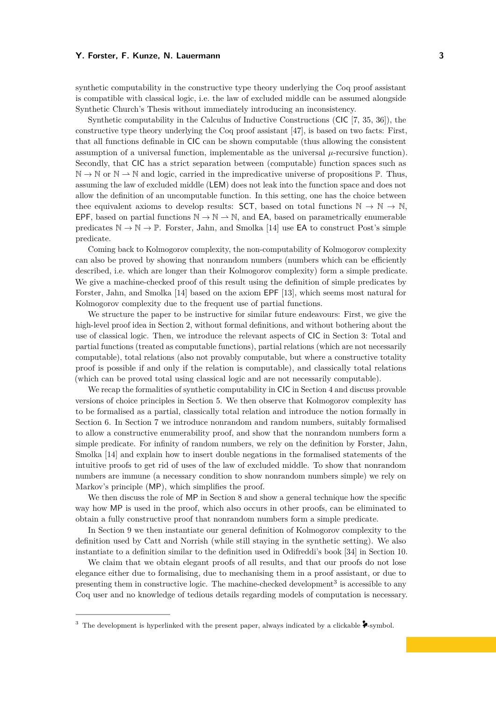synthetic computability in the constructive type theory underlying the Coq proof assistant is compatible with classical logic, i.e. the law of excluded middle can be assumed alongside Synthetic Church's Thesis without immediately introducing an inconsistency.

Synthetic computability in the Calculus of Inductive Constructions (CIC [7, 35, 36]), the constructive type theory underlying the Coq proof assistant [47], is based on two facts: First, that all functions definable in CIC can be shown computable (thus allowing the consistent assumption of a universal function, implementable as the universal  $\mu$ -recursive function). Secondly, that CIC has a strict separation between (computable) function spaces such as  $\mathbb{N} \to \mathbb{N}$  or  $\mathbb{N} \to \mathbb{N}$  and logic, carried in the impredicative universe of propositions  $\mathbb{P}$ . Thus, assuming the law of excluded middle (LEM) does not leak into the function space and does not allow the definition of an uncomputable function. In this setting, one has the choice between thee equivalent axioms to develop results: SCT, based on total functions  $\mathbb{N} \to \mathbb{N} \to \mathbb{N}$ , EPF, based on partial functions  $\mathbb{N} \to \mathbb{N} \to \mathbb{N}$ , and EA, based on parametrically enumerable predicates  $\mathbb{N} \to \mathbb{N} \to \mathbb{P}$ . Forster, Jahn, and Smolka [14] use **EA** to construct Post's simple predicate.

Coming back to Kolmogorov complexity, the non-computability of Kolmogorov complexity can also be proved by showing that nonrandom numbers (numbers which can be efficiently described, i.e. which are longer than their Kolmogorov complexity) form a simple predicate. We give a machine-checked proof of this result using the definition of simple predicates by Forster, Jahn, and Smolka [14] based on the axiom EPF [13], which seems most natural for Kolmogorov complexity due to the frequent use of partial functions.

We structure the paper to be instructive for similar future endeavours: First, we give the high-level proof idea in Section 2, without formal definitions, and without bothering about the use of classical logic. Then, we introduce the relevant aspects of CIC in Section 3: Total and partial functions (treated as computable functions), partial relations (which are not necessarily computable), total relations (also not provably computable, but where a constructive totality proof is possible if and only if the relation is computable), and classically total relations (which can be proved total using classical logic and are not necessarily computable).

We recap the formalities of synthetic computability in CIC in Section 4 and discuss provable versions of choice principles in Section 5. We then observe that Kolmogorov complexity has to be formalised as a partial, classically total relation and introduce the notion formally in Section 6. In Section 7 we introduce nonrandom and random numbers, suitably formalised to allow a constructive enumerability proof, and show that the nonrandom numbers form a simple predicate. For infinity of random numbers, we rely on the definition by Forster, Jahn, Smolka [14] and explain how to insert double negations in the formalised statements of the intuitive proofs to get rid of uses of the law of excluded middle. To show that nonrandom numbers are immune (a necessary condition to show nonrandom numbers simple) we rely on Markov's principle (MP), which simplifies the proof.

We then discuss the role of MP in Section 8 and show a general technique how the specific way how MP is used in the proof, which also occurs in other proofs, can be eliminated to obtain a fully constructive proof that nonrandom numbers form a simple predicate.

In Section 9 we then instantiate our general definition of Kolmogorov complexity to the definition used by Catt and Norrish (while still staying in the synthetic setting). We also instantiate to a definition similar to the definition used in Odifreddi's book [34] in Section 10.

We claim that we obtain elegant proofs of all results, and that our proofs do not lose elegance either due to formalising, due to mechanising them in a proof assistant, or due to presenting them in constructive logic. The machine-checked development<sup>3</sup> is accessible to any Coq user and no knowledge of tedious details regarding models of computation is necessary.

<sup>&</sup>lt;sup>3</sup> The development is hyperlinked with the present paper, always indicated by a clickable  $\blacktriangleright$ -symbol.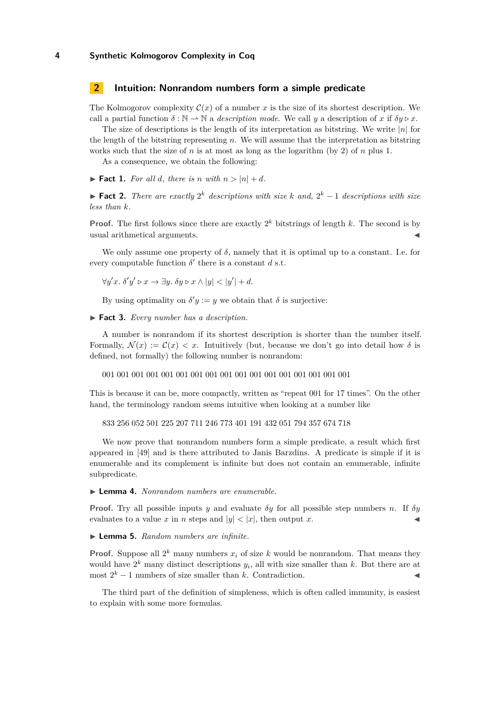## **2 Intuition: Nonrandom numbers form a simple predicate**

The Kolmogorov complexity  $\mathcal{C}(x)$  of a number x is the size of its shortest description. We call a partial function  $\delta : \mathbb{N} \to \mathbb{N}$  a *description mode*. We call *y* a description of *x* if  $\delta y \triangleright x$ .

The size of descriptions is the length of its interpretation as bitstring. We write |*n*| for the length of the bitstring representing *n*. We will assume that the interpretation as bitstring works such that the size of *n* is at most as long as the logarithm (by 2) of *n* plus 1.

As a consequence, we obtain the following:

 $\blacktriangleright$  **Fact 1.** For all *d*, there is *n* with  $n > |n| + d$ .

▶ **Fact 2.** *There are exactly*  $2^k$  *descriptions with size k and*,  $2^k - 1$  *descriptions with size less than k.*

**Proof.** The first follows since there are exactly  $2^k$  bitstrings of length  $k$ . The second is by usual arithmetical arguments.

We only assume one property of  $\delta$ , namely that it is optimal up to a constant. I.e. for every computable function  $\delta'$  there is a constant  $d$  s.t.

 $\forall y'x. \ \delta'y' \triangleright x \rightarrow \exists y. \ \delta y \triangleright x \wedge |y| < |y'| + d.$ 

By using optimality on  $\delta' y := y$  we obtain that  $\delta$  is surjective:

▶ **Fact 3.** *Every number has a description.*

A number is nonrandom if its shortest description is shorter than the number itself. Formally,  $\mathcal{N}(x) := \mathcal{C}(x) < x$ . Intuitively (but, because we don't go into detail how  $\delta$  is defined, not formally) the following number is nonrandom:

001 001 001 001 001 001 001 001 001 001 001 001 001 001 001 001 001

This is because it can be, more compactly, written as "repeat 001 for 17 times". On the other hand, the terminology random seems intuitive when looking at a number like

833 256 052 501 225 207 711 246 773 401 191 432 051 794 357 674 718

We now prove that nonrandom numbers form a simple predicate, a result which first appeared in [49] and is there attributed to Janis Barzdins. A predicate is simple if it is enumerable and its complement is infinite but does not contain an enumerable, infinite subpredicate.

▶ **Lemma 4.** *Nonrandom numbers are enumerable.*

**Proof.** Try all possible inputs *y* and evaluate *δy* for all possible step numbers *n*. If *δy* evaluates to a value x in *n* steps and  $|y| < |x|$ , then output x.

#### ▶ **Lemma 5.** *Random numbers are infinite.*

**Proof.** Suppose all  $2^k$  many numbers  $x_i$  of size  $k$  would be nonrandom. That means they would have  $2^k$  many distinct descriptions  $y_i$ , all with size smaller than  $k$ . But there are at  $\text{most } 2^k - 1 \text{ numbers of size smaller than } k.$  Contradiction.

The third part of the definition of simpleness, which is often called immunity, is easiest to explain with some more formulas.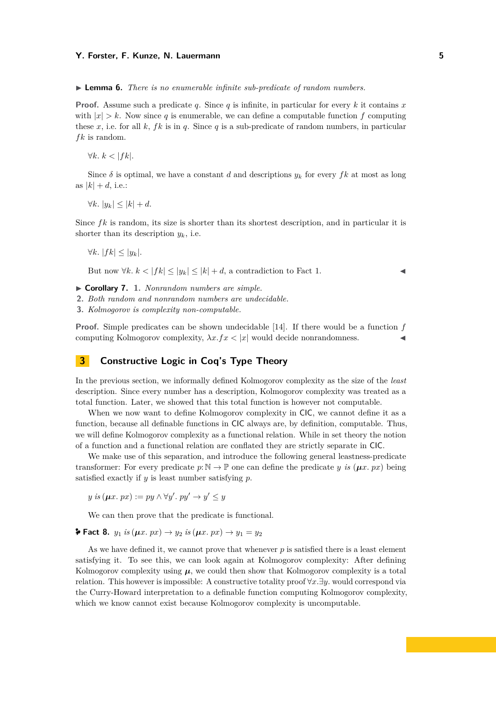▶ **Lemma 6.** *There is no enumerable infinite sub-predicate of random numbers.*

**Proof.** Assume such a predicate *q*. Since *q* is infinite, in particular for every *k* it contains *x* with  $|x| > k$ . Now since q is enumerable, we can define a computable function f computing these x, i.e. for all  $k$ ,  $fk$  is in  $q$ . Since  $q$  is a sub-predicate of random numbers, in particular *f k* is random.

 $\forall k. k < |fk|$ .

Since  $\delta$  is optimal, we have a constant *d* and descriptions  $y_k$  for every  $fk$  at most as long as  $|k| + d$ , i.e.:

*∀k.*  $|y_k|$  <  $|k|$  + *d.* 

Since  $fk$  is random, its size is shorter than its shortest description, and in particular it is shorter than its description *yk*, i.e.

$$
\forall k. |fk| \le |y_k|.
$$

But now  $\forall k. \ k < |fk| \leq |y_k| \leq |k| + d$ , a contradiction to Fact 1.

- ▶ **Corollary 7. 1.** *Nonrandom numbers are simple.*
- **2.** *Both random and nonrandom numbers are undecidable.*
- **3.** *Kolmogorov is complexity non-computable.*

**Proof.** Simple predicates can be shown undecidable [14]. If there would be a function *f* computing Kolmogorov complexity,  $\lambda x.fx < |x|$  would decide nonrandomness.

# **3 Constructive Logic in Coq's Type Theory**

In the previous section, we informally defined Kolmogorov complexity as the size of the *least* description. Since every number has a description, Kolmogorov complexity was treated as a total function. Later, we showed that this total function is however not computable.

When we now want to define Kolmogorov complexity in CIC, we cannot define it as a function, because all definable functions in CIC always are, by definition, computable. Thus, we will define Kolmogorov complexity as a functional relation. While in set theory the notion of a function and a functional relation are conflated they are strictly separate in CIC.

We make use of this separation, and introduce the following general leastness-predicate transformer: For every predicate  $p:\mathbb{N} \to \mathbb{P}$  one can define the predicate *y is* ( $\mu x$ . px) being satisfied exactly if *y* is least number satisfying *p*.

 $y$  *is* ( $\mu x. px$ ) :=  $py \wedge \forall y'. py' \rightarrow y' \leq y$ 

We can then prove that the predicate is functional.

**≯ [Fact 8.](https://ps.uni-saarland.de/extras/kolmogorov/coqdoc/Undecidability.Synthetic.Kolmogorov_gen.html#the_least_pred_unique)**  $y_1$  *is* ( $\mu x$ .  $px$ ) →  $y_2$  *is* ( $\mu x$ .  $px$ ) →  $y_1 = y_2$ 

As we have defined it, we cannot prove that whenever  $p$  is satisfied there is a least element satisfying it. To see this, we can look again at Kolmogorov complexity: After defining Kolmogorov complexity using  $\mu$ , we could then show that Kolmogorov complexity is a total relation. This however is impossible: A constructive totality proof ∀*x.*∃*y.* would correspond via the Curry-Howard interpretation to a definable function computing Kolmogorov complexity, which we know cannot exist because Kolmogorov complexity is uncomputable.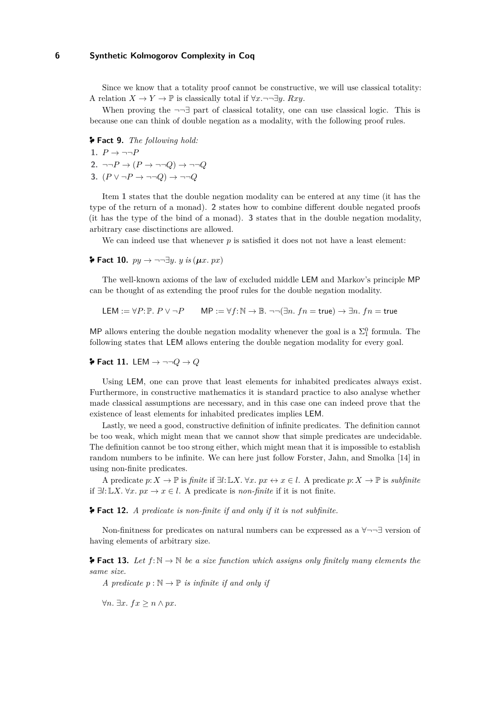Since we know that a totality proof cannot be constructive, we will use classical totality: A relation  $X \to Y \to \mathbb{P}$  is classically total if  $\forall x.\neg\neg \exists y. Rxy$ .

When proving the  $\neg\neg\exists$  part of classical totality, one can use classical logic. This is because one can think of double negation as a modality, with the following proof rules.

**[Fact 9.](https://ps.uni-saarland.de/extras/kolmogorov/coqdoc/Undecidability.Synthetic.Kolmogorov_gen.html#modality_return)** *The following hold:*

1.  $P \rightarrow \neg \neg P$ 2.  $\neg\neg P \rightarrow (P \rightarrow \neg \neg Q) \rightarrow \neg \neg Q$ **3.** (*P* ∨ ¬*P* → ¬¬*Q*) → ¬¬*Q*

Item **1** states that the double negation modality can be entered at any time (it has the type of the return of a monad). **2** states how to combine different double negated proofs (it has the type of the bind of a monad). **3** states that in the double negation modality, arbitrary case disctinctions are allowed.

We can indeed use that whenever  $p$  is satisfied it does not not have a least element:

**≯** [Fact 10.](https://ps.uni-saarland.de/extras/kolmogorov/coqdoc/Undecidability.Synthetic.Kolmogorov_gen.html#the_least_ex)  $py \rightarrow \neg \neg \exists y. y$  *is* ( $\mu x. px$ )

The well-known axioms of the law of excluded middle LEM and Markov's principle MP can be thought of as extending the proof rules for the double negation modality.

$$
\mathsf{LEM} := \forall P \colon \mathbb{P}. \, P \lor \neg P \qquad \mathsf{MP} := \forall f \colon \mathbb{N} \to \mathbb{B}. \, \neg \neg (\exists n. \, fn = \mathsf{true}) \to \exists n. \, fn = \mathsf{true}
$$

MP allows entering the double negation modality whenever the goal is a  $\Sigma_1^0$  formula. The following states that LEM allows entering the double negation modality for every goal.

**[Fact 11.](https://ps.uni-saarland.de/extras/kolmogorov/coqdoc/Undecidability.Synthetic.Kolmogorov_gen.html#modality_LEM)** LEM  $\rightarrow \neg\neg Q \rightarrow Q$ 

Using LEM, one can prove that least elements for inhabited predicates always exist. Furthermore, in constructive mathematics it is standard practice to also analyse whether made classical assumptions are necessary, and in this case one can indeed prove that the existence of least elements for inhabited predicates implies LEM.

Lastly, we need a good, constructive definition of infinite predicates. The definition cannot be too weak, which might mean that we cannot show that simple predicates are undecidable. The definition cannot be too strong either, which might mean that it is impossible to establish random numbers to be infinite. We can here just follow Forster, Jahn, and Smolka [14] in using non-finite predicates.

A predicate *p*: *X* → P is *finite* if ∃*l*:L*X.* ∀*x. px* ↔ *x* ∈ *l*. A predicate *p*: *X* → P is *subfinite* if ∃*l*:L*X.* ∀*x. px* → *x* ∈ *l*. A predicate is *non-finite* if it is not finite.

**[Fact 12.](https://ps.uni-saarland.de/extras/kolmogorov/coqdoc/Undecidability.Shared.FinitenessFacts.html#non_listable_non_exhaustible_iff)** *A predicate is non-finite if and only if it is not subfinite.*

Non-finitness for predicates on natural numbers can be expressed as a ∀¬¬∃ version of having elements of arbitrary size.

**[Fact 13.](https://ps.uni-saarland.de/extras/kolmogorov/coqdoc/Undecidability.Shared.FinitenessFacts.html#non_finite_unbounded_fun)** Let  $f: \mathbb{N} \to \mathbb{N}$  be a size function which assigns only finitely many elements the *same size.*

*A predicate*  $p : \mathbb{N} \to \mathbb{P}$  *is infinite if and only if* 

 $∀n. ∃x. f x ≥ n ∧ px.$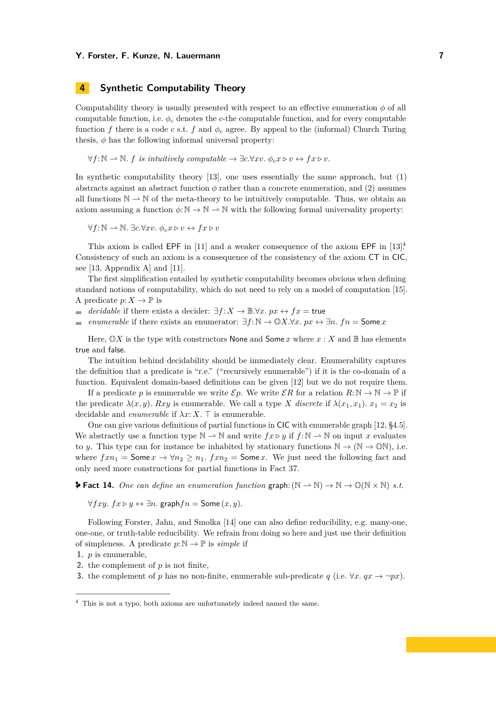## **4 Synthetic Computability Theory**

Computability theory is usually presented with respect to an effective enumeration  $\phi$  of all computable function, i.e.  $\phi_c$  denotes the *c*-the computable function, and for every computable function *f* there is a code *c* s.t. *f* and  $\phi_c$  agree. By appeal to the (informal) Church Turing thesis,  $\phi$  has the following informal universal property:

 $\forall f: \mathbb{N} \rightarrow \mathbb{N}$ . *f is intuitively computable*  $\rightarrow \exists c. \forall xv. \phi_c x \triangleright v \leftrightarrow fx \triangleright v.$ 

In synthetic computability theory [13], one uses essentially the same approach, but (1) abstracts against an abstract function  $\phi$  rather than a concrete enumeration, and (2) assumes all functions  $\mathbb{N} \to \mathbb{N}$  of the meta-theory to be intuitively computable. Thus, we obtain an axiom assuming a function  $\phi: \mathbb{N} \to \mathbb{N} \to \mathbb{N}$  with the following formal universality property:

 $\forall f: \mathbb{N} \rightarrow \mathbb{N}$ . ∃*c*. $\forall xv.$   $\phi_c x \triangleright v \leftrightarrow fx \triangleright v$ 

This axiom is called EPF in [11] and a weaker consequence of the axiom EPF in [13]<sup>4</sup>. Consistency of such an axiom is a consequence of the consistency of the axiom CT in CIC, see [13, Appendix A] and [11].

The first simplification entailed by synthetic computability becomes obvious when defining standard notions of computability, which do not need to rely on a model of computation [15]. A predicate  $p: X \to \mathbb{P}$  is

- *decidable* if there exists a decider:  $\exists f: X \to \mathbb{B} \forall x. px \leftrightarrow fx = \text{true}$  $\mathbf{r}$
- *enumerable* if there exists an enumerator:  $\exists f: \mathbb{N} \to \mathbb{O}X$ .  $\forall x. px \leftrightarrow \exists n$ .  $fn = \text{Some } x$  $\blacksquare$

Here,  $\mathbb{O}X$  is the type with constructors None and Some *x* where  $x : X$  and  $\mathbb{B}$  has elements true and false.

The intuition behind decidability should be immediately clear. Enumerability captures the definition that a predicate is "r.e." ("recursively enumerable") if it is the co-domain of a function. Equivalent domain-based definitions can be given [12] but we do not require them.

If a predicate p is enumerable we write  $\mathcal{E}p$ . We write  $\mathcal{E}R$  for a relation  $R:\mathbb{N} \to \mathbb{N} \to \mathbb{P}$  if the predicate  $\lambda(x, y)$ *. Rxy* is enumerable. We call a type *X* discrete if  $\lambda(x_1, x_1)$ *.*  $x_1 = x_2$  is decidable and *enumerable* if  $\lambda x$ : *X*. ⊤ is enumerable.

One can give various definitions of partial functions in CIC with enumerable graph [12, §4.5]. We abstractly use a function type  $\mathbb{N} \to \mathbb{N}$  and write  $f \mathcal{X} \triangleright y$  if  $f : \mathbb{N} \to \mathbb{N}$  on input  $x$  evaluates to *y*. This type can for instance be inhabited by stationary functions  $\mathbb{N} \to (\mathbb{N} \to \mathbb{O}\mathbb{N})$ , i.e. where  $f x n_1 = \textsf{Some } x \to \forall n_2 \geq n_1$ .  $f x n_2 = \textsf{Some } x$ . We just need the following fact and only need more constructions for partial functions in Fact 37.

**[Fact 14.](https://ps.uni-saarland.de/extras/kolmogorov/coqdoc/Undecidability.Synthetic.EnumerabilityFacts.html#enumerable_graph_part)** One can define an enumeration function graph:  $(N \rightarrow N) \rightarrow N \rightarrow \mathbb{O}(N \times N)$  *s.t.* 

∀*fxy. fx ▷ y* ↔ ∃*n.* graph*fn* = Some (*x, y*)*.*

Following Forster, Jahn, and Smolka [14] one can also define reducibility, e.g. many-one, one-one, or truth-table reducibility. We refrain from doing so here and just use their definition of simpleness. A predicate  $p: \mathbb{N} \to \mathbb{P}$  is *simple* if

**1.** *p* is enumerable,

- **2.** the complement of *p* is not finite,
- **3.** the complement of *p* has no non-finite, enumerable sub-predicate *q* (i.e.  $\forall x. qx \rightarrow \neg px$ ).

 $4$  This is not a typo, both axioms are unfortunately indeed named the same.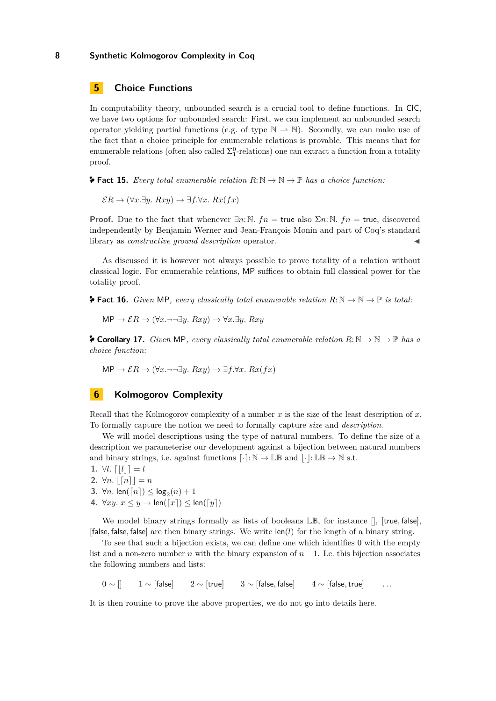## **5 Choice Functions**

In computability theory, unbounded search is a crucial tool to define functions. In CIC, we have two options for unbounded search: First, we can implement an unbounded search operator yielding partial functions (e.g. of type  $\mathbb{N} \to \mathbb{N}$ ). Secondly, we can make use of the fact that a choice principle for enumerable relations is provable. This means that for enumerable relations (often also called  $\Sigma^0_1$ -relations) one can extract a function from a totality proof.

**[Fact 15.](https://ps.uni-saarland.de/extras/kolmogorov/coqdoc/Undecidability.Axioms.principles.html#enumerable_AC)** *Every total enumerable relation*  $R: \mathbb{N} \to \mathbb{N} \to \mathbb{P}$  *has a choice function:* 

 $\mathcal{E}R \to (\forall x. \exists y. Rxy) \to \exists f. \forall x. Rx(fx)$ 

**Proof.** Due to the fact that whenever  $\exists n: \mathbb{N}$ .  $fn = \text{true}$  also  $\Sigma_n: \mathbb{N}$ .  $fn = \text{true}$ , discovered independently by Benjamin Werner and Jean-François Monin and part of Coq's standard library as *constructive ground description* operator.

As discussed it is however not always possible to prove totality of a relation without classical logic. For enumerable relations, MP suffices to obtain full classical power for the totality proof.

**[Fact 16.](https://ps.uni-saarland.de/extras/kolmogorov/coqdoc/Undecidability.Synthetic.Kolmogorov_gen.html#MP_total)** *Given* MP, *every classically total enumerable relation*  $R: \mathbb{N} \to \mathbb{N} \to \mathbb{P}$  *is total:* 

$$
\mathsf{MP} \to \mathcal{E}R \to (\forall x. \neg\neg \exists y. Rxy) \to \forall x. \exists y. Rxy
$$

**F** [Corollary 17.](https://ps.uni-saarland.de/extras/kolmogorov/coqdoc/Undecidability.Synthetic.Kolmogorov_gen.html#MP_choice) *Given* MP, every classically total enumerable relation  $R: \mathbb{N} \to \mathbb{N} \to \mathbb{P}$  has a *choice function:*

 $MP \rightarrow \mathcal{E}R \rightarrow (\forall x.\neg\neg \exists y. Rxy) \rightarrow \exists f.\forall x. Rx(fx)$ 

## **6 Kolmogorov Complexity**

Recall that the Kolmogorov complexity of a number *x* is the size of the least description of *x*. To formally capture the notion we need to formally capture *size* and *description*.

We will model descriptions using the type of natural numbers. To define the size of a description we parameterise our development against a bijection between natural numbers and binary strings, i.e. against functions  $\lceil \cdot \rceil : \mathbb{N} \to \mathbb{L} \mathbb{B}$  and  $\lceil \cdot \rceil : \mathbb{L} \mathbb{B} \to \mathbb{N}$  s.t.

**1.**  $\forall l. \lfloor |l| \rfloor = l$ 

- **2.**  $\forall n. |[n]| = n$
- **3.**  $\forall n.$   $\text{len}(\lceil n \rceil) \leq \text{log}_2(n) + 1$
- **4.**  $\forall xy. x \leq y \rightarrow \text{len}(\lceil x \rceil) \leq \text{len}(\lceil y \rceil)$

We model binary strings formally as lists of booleans LB, for instance [], [true*,* false], [false*,* false*,* false] are then binary strings. We write len(*l*) for the length of a binary string.

To see that such a bijection exists, we can define one which identifies 0 with the empty list and a non-zero number *n* with the binary expansion of  $n-1$ . I.e. this bijection associates the following numbers and lists:

 $0 \sim []$  1 ∼ [false] 2 ∼ [true] 3 ∼ [false, false] 4 ∼ [false, true] ...

It is then routine to prove the above properties, we do not go into details here.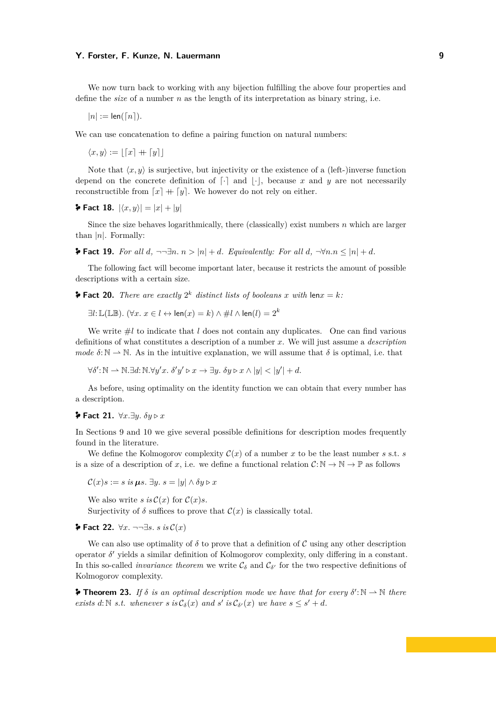We now turn back to working with any bijection fulfilling the above four properties and define the *size* of a number *n* as the length of its interpretation as binary string, i.e.

 $|n| := \text{len}(\lceil n \rceil)$ .

We can use concatenation to define a pairing function on natural numbers:

 $\langle x, y \rangle := | [x] + [y] |$ 

Note that  $\langle x, y \rangle$  is surjective, but injectivity or the existence of a (left-)inverse function depend on the concrete definition of  $\lceil \cdot \rceil$  and  $\lceil \cdot \rceil$ , because *x* and *y* are not necessarily reconstructible from  $\lceil x \rceil + \lceil y \rceil$ . We however do not rely on either.

**[Fact 18.](https://ps.uni-saarland.de/extras/kolmogorov/coqdoc/Undecidability.Synthetic.Kolmogorov_gen.html#size_pair)**  $|\langle x, y \rangle| = |x| + |y|$ 

Since the size behaves logarithmically, there (classically) exist numbers *n* which are larger than |*n*|. Formally:

 $\blacktriangleright$  **[Fact 19.](https://ps.uni-saarland.de/extras/kolmogorov/coqdoc/Undecidability.Synthetic.Kolmogorov_gen.html#size_sublinear)** For all *d*,  $\neg \exists n. n > |n| + d$ *. Equivalently: For all d,*  $\neg \forall n. n \leq |n| + d$ *.* 

The following fact will become important later, because it restricts the amount of possible descriptions with a certain size.

**[Fact 20.](https://ps.uni-saarland.de/extras/kolmogorov/coqdoc/Undecidability.Synthetic.Kolmogorov_gen.html#bitlist_for_k)** *There are exactly*  $2^k$  *distinct lists of booleans x with* len $x = k$ *:* 

∃*l*:L(LB)*.* (∀*x. x* ∈ *l* ↔ len(*x*) = *k*) ∧ #*l* ∧ len(*l*) = 2*<sup>k</sup>*

We write  $\#l$  to indicate that *l* does not contain any duplicates. One can find various definitions of what constitutes a description of a number *x*. We will just assume a *description mode*  $\delta: \mathbb{N} \to \mathbb{N}$ . As in the intuitive explanation, we will assume that  $\delta$  is optimal, i.e. that

 $\forall \delta' : \mathbb{N} \to \mathbb{N}. \exists d: \mathbb{N}. \forall y'x. \ \delta' y' \triangleright x \to \exists y. \ \delta y \triangleright x \wedge |y| < |y'| + d.$ 

As before, using optimality on the identity function we can obtain that every number has a description.

**[Fact 21.](https://ps.uni-saarland.de/extras/kolmogorov/coqdoc/Undecidability.Synthetic.Kolmogorov_gen.html#desc_surjective)** ∀*x.*∃*y. δy ▷ x*

In Sections 9 and 10 we give several possible definitions for description modes frequently found in the literature.

We define the Kolmogorov complexity  $\mathcal{C}(x)$  of a number x to be the least number s s.t. s is a size of a description of *x*, i.e. we define a functional relation  $C: \mathbb{N} \to \mathbb{N} \to \mathbb{P}$  as follows

 $\mathcal{C}(x)s := s$  *is*  $\boldsymbol{\mu} s$ .  $\exists y. s = |y| \wedge \delta y \triangleright x$ 

We also write *s* is  $\mathcal{C}(x)$  for  $\mathcal{C}(x)s$ .

Surjectivity of  $\delta$  suffices to prove that  $\mathcal{C}(x)$  is classically total.

**[Fact 22.](https://ps.uni-saarland.de/extras/kolmogorov/coqdoc/Undecidability.Synthetic.Kolmogorov_gen.html#C_weakly_total)** ∀*x.* ¬¬∃*s. s is* C(*x*)

We can also use optimality of  $\delta$  to prove that a definition of C using any other description operator *δ* ′ yields a similar definition of Kolmogorov complexity, only differing in a constant. In this so-called *invariance theorem* we write  $C_{\delta}$  and  $C_{\delta'}$  for the two respective definitions of Kolmogorov complexity.

**[Theorem 23.](https://ps.uni-saarland.de/extras/kolmogorov/coqdoc/Undecidability.Synthetic.Kolmogorov_gen.html#Invariance)** *If*  $\delta$  *is an optimal description mode we have that for every*  $\delta'$ :  $\mathbb{N} \to \mathbb{N}$  *there exists d*:  $\mathbb{N}$  *s.t. whenever s is*  $\mathcal{C}_{\delta}(x)$  *and s' is*  $\mathcal{C}_{\delta'}(x)$  *we have*  $s \leq s' + d$ *.*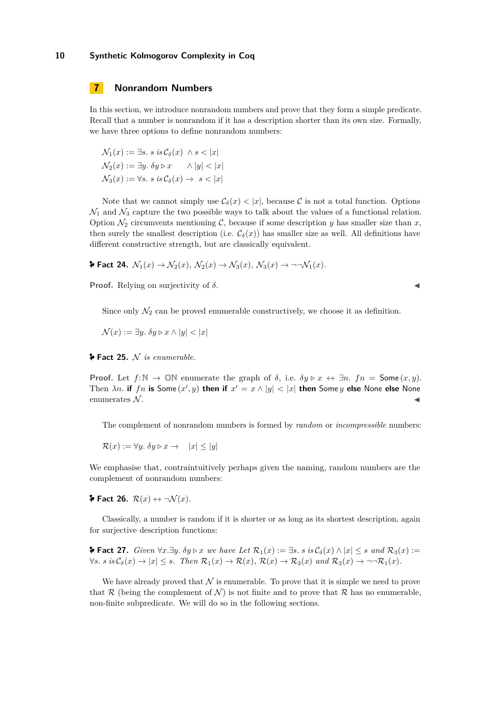## **7 Nonrandom Numbers**

In this section, we introduce nonrandom numbers and prove that they form a simple predicate. Recall that a number is nonrandom if it has a description shorter than its own size. Formally, we have three options to define nonrandom numbers:

 $\mathcal{N}_1(x) := \exists s. \ s \text{ is } \mathcal{C}_\delta(x) \ \wedge s < |x|$  $\mathcal{N}_2(x) := \exists y \ldotp \delta y \triangleright x \quad \land |y| < |x|$  $\mathcal{N}_3(x) := \forall s. \ s \text{ is } \mathcal{C}_\delta(x) \to s < |x|$ 

Note that we cannot simply use  $\mathcal{C}_{\delta}(x) < |x|$ , because C is not a total function. Options  $\mathcal{N}_1$  and  $\mathcal{N}_3$  capture the two possible ways to talk about the values of a functional relation. Option  $\mathcal{N}_2$  circumvents mentioning C, because if some description y has smaller size than x, then surely the smallest description (i.e.  $\mathcal{C}_{\delta}(x)$ ) has smaller size as well. All definitions have different constructive strength, but are classically equivalent.

$$
\blacktriangleright \text{Fact 24. } \mathcal{N}_1(x) \to \mathcal{N}_2(x), \, \mathcal{N}_2(x) \to \mathcal{N}_3(x), \, \mathcal{N}_3(x) \to \neg \neg \mathcal{N}_1(x).
$$

**Proof.** Relying on surjectivity of  $\delta$ .

Since only  $\mathcal{N}_2$  can be proved enumerable constructively, we choose it as definition.

 $\mathcal{N}(x) := \exists y \, \delta y \triangleright x \wedge |y| < |x|$ 

**[Fact 25.](https://ps.uni-saarland.de/extras/kolmogorov/coqdoc/Undecidability.Synthetic.Kolmogorov_gen.html#enumerable_N)** N *is enumerable.*

**Proof.** Let  $f: \mathbb{N} \to \mathbb{O}\mathbb{N}$  enumerate the graph of  $\delta$ , i.e.  $\delta y \triangleright x \leftrightarrow \exists n$ .  $fn = \mathsf{Some}(x, y)$ . Then  $\lambda n$ . **if**  $fn$  **is** Some  $(x', y)$  then if  $x' = x \wedge |y| < |x|$  then Some  $y$  else None else None enumerates  $N$ .

The complement of nonrandom numbers is formed by *random* or *incompressible* numbers:

 $\mathcal{R}(x) := \forall y \in \delta y \triangleright x \rightarrow |x| \leq |y|$ 

We emphasise that, contraintuitively perhaps given the naming, random numbers are the complement of nonrandom numbers:

**[Fact 26.](https://ps.uni-saarland.de/extras/kolmogorov/coqdoc/Undecidability.Synthetic.Kolmogorov_gen.html#R_neg_N)**  $\mathcal{R}(x) \leftrightarrow \neg \mathcal{N}(x)$ .

Classically, a number is random if it is shorter or as long as its shortest description, again for surjective description functions:

**≯ [Fact 27.](https://ps.uni-saarland.de/extras/kolmogorov/coqdoc/Undecidability.Synthetic.Kolmogorov_gen.html#R_equiv)** *Given*  $\forall x.\exists y.\ \delta y \triangleright x$  *we have Let*  $\mathcal{R}_1(x) := \exists s.\ s \text{ is } \mathcal{C}_\delta(x) \wedge |x| \leq s$  *and*  $\mathcal{R}_3(x) :=$  $\forall s. s \text{ is } \mathcal{C}_{\delta}(x) \rightarrow |x| \leq s.$  Then  $\mathcal{R}_1(x) \rightarrow \mathcal{R}(x), \mathcal{R}(x) \rightarrow \mathcal{R}_3(x) \text{ and } \mathcal{R}_3(x) \rightarrow \neg \neg \mathcal{R}_1(x)$ .

We have already proved that  $\mathcal N$  is enumerable. To prove that it is simple we need to prove that R (being the complement of N) is not finite and to prove that R has no enumerable, non-finite subpredicate. We will do so in the following sections.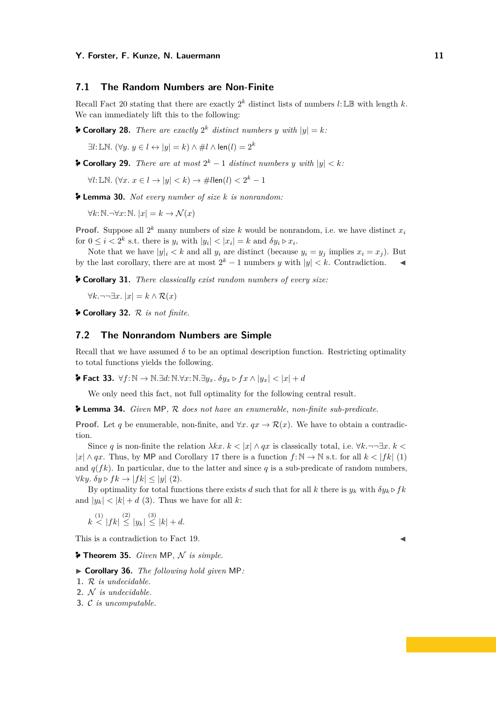## **7.1 The Random Numbers are Non-Finite**

Recall Fact 20 stating that there are exactly  $2^k$  distinct lists of numbers  $l: \mathbb{LB}$  with length  $k$ . We can immediately lift this to the following:

**[Corollary 28.](https://ps.uni-saarland.de/extras/kolmogorov/coqdoc/Undecidability.Synthetic.Kolmogorov_gen.html#list_for_k)** *There are exactly*  $2^k$  *distinct numbers y with*  $|y| = k$ *:* 

∃*l*:LN*.* (∀*y. y* ∈ *l* ↔ |*y*| = *k*) ∧ #*l* ∧ len(*l*) = 2*<sup>k</sup>*

**[Corollary 29.](https://ps.uni-saarland.de/extras/kolmogorov/coqdoc/Undecidability.Synthetic.Kolmogorov_gen.html#at_most)** *There are at most*  $2^k - 1$  *distinct numbers y with*  $|y| < k$ *:* 

∀*l*:LN*.* (∀*x. x* ∈ *l* → |*y*| *< k*) → #*l*len(*l*) *<* 2 *<sup>k</sup>* − 1

**[Lemma 30.](https://ps.uni-saarland.de/extras/kolmogorov/coqdoc/Undecidability.Synthetic.Kolmogorov_gen.html#nonrandom_k)** *Not every number of size k is nonrandom:*

 $\forall k: \mathbb{N}.\neg\forall x: \mathbb{N}.$  | $x$ | =  $k \rightarrow \mathcal{N}(x)$ 

**Proof.** Suppose all  $2^k$  many numbers of size *k* would be nonrandom, i.e. we have distinct  $x_i$ for  $0 \leq i < 2^k$  s.t. there is  $y_i$  with  $|y_i| < |x_i| = k$  and  $\delta y_i \triangleright x_i$ .

Note that we have  $|y_i| \leq k$  and all  $y_i$  are distinct (because  $y_i = y_j$  implies  $x_i = x_j$ ). But by the last corollary, there are at most  $2^k - 1$  numbers *y* with  $|y| < k$ . Contradiction.

**[Corollary 31.](https://ps.uni-saarland.de/extras/kolmogorov/coqdoc/Undecidability.Synthetic.Kolmogorov_gen.html#unboundedR)** *There classically exist random numbers of every size:*

∀*k.*¬¬∃*x.* |*x*| = *k* ∧ R(*x*)

**[Corollary 32.](https://ps.uni-saarland.de/extras/kolmogorov/coqdoc/Undecidability.Synthetic.Kolmogorov_gen.html#non_finite_R)** R *is not finite.*

## **7.2 The Nonrandom Numbers are Simple**

Recall that we have assumed  $\delta$  to be an optimal description function. Restricting optimality to total functions yields the following.

**[Fact 33.](https://ps.uni-saarland.de/extras/kolmogorov/coqdoc/Undecidability.Synthetic.Kolmogorov_gen.html#dist_lem )** ∀*f*: N → N*.*∃*d*: N*.*∀*x*: N*.*∃*yx. δy<sup>x</sup> ▷ fx* ∧ |*yx*| *<* |*x*| + *d*

We only need this fact, not full optimality for the following central result.

**[Lemma 34.](https://ps.uni-saarland.de/extras/kolmogorov/coqdoc/Undecidability.Synthetic.Kolmogorov_gen.html#subset)** *Given* MP*,* R *does not have an enumerable, non-finite sub-predicate.*

**Proof.** Let *q* be enumerable, non-finite, and  $\forall x \, ax \rightarrow \mathcal{R}(x)$ . We have to obtain a contradiction.

Since *q* is non-finite the relation  $\lambda kx. k < |x| \wedge qx$  is classically total, i.e.  $\forall k. \neg \neg \exists x. k <$  $|x| \wedge qx$ . Thus, by MP and Corollary 17 there is a function  $f: \mathbb{N} \to \mathbb{N}$  s.t. for all  $k < |f_k|$  (1) and  $q(fk)$ . In particular, due to the latter and since q is a sub-predicate of random numbers,  $\forall ky. \delta y \triangleright fk \rightarrow |fk| < |y|$  (2).

By optimality for total functions there exists *d* such that for all *k* there is  $y_k$  with  $\delta y_k \triangleright f k$ and  $|y_k| < |k| + d$  (3). Thus we have for all *k*:

$$
k \stackrel{(1)}{<} |fk| \stackrel{(2)}{\leq} |y_k| \stackrel{(3)}{\leq} |k| + d.
$$

This is a contradiction to Fact 19.

**F** [Theorem 35.](https://ps.uni-saarland.de/extras/kolmogorov/coqdoc/Undecidability.Synthetic.Kolmogorov_gen.html#simple_N) *Given* MP, N is simple.

▶ **Corollary 36.** *The following hold given* MP*:*

- **1.** R *is undecidable.*
- **2.** N *is undecidable.*
- **3.** C *is uncomputable.*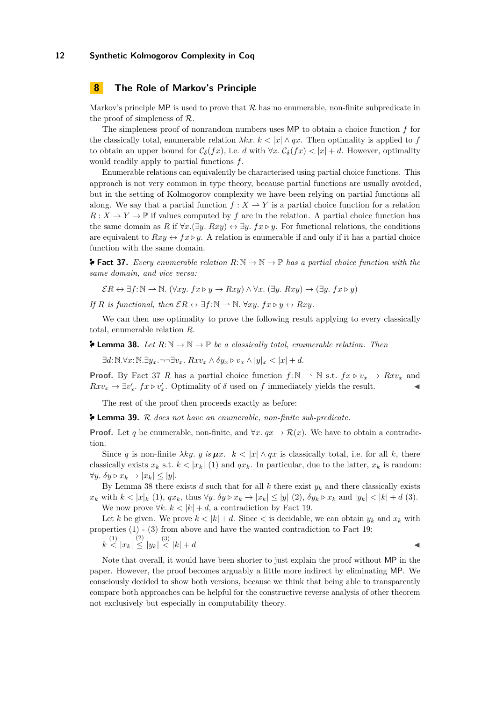## **8 The Role of Markov's Principle**

Markov's principle MP is used to prove that  $\mathcal R$  has no enumerable, non-finite subpredicate in the proof of simpleness of R.

The simpleness proof of nonrandom numbers uses MP to obtain a choice function *f* for the classically total, enumerable relation  $\lambda kx. k < |x| \wedge qx$ . Then optimality is applied to f to obtain an upper bound for  $C_{\delta}(fx)$ , i.e. *d* with  $\forall x$ .  $C_{\delta}(fx) < |x| + d$ . However, optimality would readily apply to partial functions *f*.

Enumerable relations can equivalently be characterised using partial choice functions. This approach is not very common in type theory, because partial functions are usually avoided, but in the setting of Kolmogorov complexity we have been relying on partial functions all along. We say that a partial function  $f: X \to Y$  is a partial choice function for a relation  $R: X \to Y \to \mathbb{P}$  if values computed by f are in the relation. A partial choice function has the same domain as *R* if  $\forall x.(\exists y. Rxy) \leftrightarrow \exists y. fx \triangleright y.$  For functional relations, the conditions are equivalent to  $Rxy \leftrightarrow fx \triangleright y$ . A relation is enumerable if and only if it has a partial choice function with the same domain.

**[Fact 37.](https://ps.uni-saarland.de/extras/kolmogorov/coqdoc/Undecidability.Synthetic.Kolmogorov_gen.html#get_partial_choice)** Every enumerable relation  $R: \mathbb{N} \to \mathbb{N} \to \mathbb{P}$  has a partial choice function with the *same domain, and vice versa:*

 $ER \leftrightarrow \exists f: \mathbb{N} \rightarrow \mathbb{N}$ . ( $\forall xy.$   $fx \triangleright y \rightarrow Rxy \land \forall x.$   $(\exists y.$   $Rxy) \rightarrow (\exists y.$   $fx \triangleright y)$ 

*If*  $R$  *is functional, then*  $\mathcal{E}R \leftrightarrow \exists f:\mathbb{N} \rightarrow \mathbb{N}$ *.* ∀*xy. fx*  $\triangleright y \leftrightarrow Rxy$ *.* 

We can then use optimality to prove the following result applying to every classically total, enumerable relation *R*.

**F** [Lemma 38.](https://ps.uni-saarland.de/extras/kolmogorov/coqdoc/Undecidability.Synthetic.Kolmogorov_gen.html#dist_rel) Let  $R: \mathbb{N} \to \mathbb{N} \to \mathbb{P}$  be a classically total, enumerable relation. Then

∃*d*: N*.*∀*x*: N*.*∃*yx.*¬¬∃*vx. Rxv<sup>x</sup>* ∧ *δy<sup>x</sup> ▷ v<sup>x</sup>* ∧ |*y*|*<sup>x</sup> <* |*x*| + *d.*

**Proof.** By Fact 37 *R* has a partial choice function  $f: \mathbb{N} \to \mathbb{N}$  s.t.  $f x \triangleright v_x \to R x v_x$  and  $Rxv_x \to \exists v'_x$ .  $fx \triangleright v'_x$ . Optimality of  $\delta$  used on  $f$  immediately yields the result.

The rest of the proof then proceeds exactly as before:

**[Lemma 39.](https://ps.uni-saarland.de/extras/kolmogorov/coqdoc/Undecidability.Synthetic.Kolmogorov_gen.html#subset_strong)** R *does not have an enumerable, non-finite sub-predicate.*

**Proof.** Let *q* be enumerable, non-finite, and  $\forall x \cdot qx \rightarrow \mathcal{R}(x)$ . We have to obtain a contradiction.

Since *q* is non-finite  $\lambda ky$ .  $y$  *is*  $\mu x$ .  $k < |x| \wedge qx$  is classically total, i.e. for all *k*, there classically exists  $x_k$  s.t.  $k < |x_k|$  (1) and  $qx_k$ . In particular, due to the latter,  $x_k$  is random:  $\forall y. \delta y \triangleright x_k \rightarrow |x_k| \leq |y|.$ 

By Lemma 38 there exists  $d$  such that for all  $k$  there exist  $y_k$  and there classically exists  $x_k$  with  $k < |x|_k$  (1),  $qx_k$ , thus  $\forall y$ .  $\delta y \triangleright x_k \rightarrow |x_k| \le |y|$  (2),  $\delta y_k \triangleright x_k$  and  $|y_k| < |k| + d$  (3). We now prove  $\forall k. k < |k| + d$ , a contradiction by Fact 19.

Let *k* be given. We prove  $k < |k| + d$ . Since  $\lt$  is decidable, we can obtain  $y_k$  and  $x_k$  with properties (1) - (3) from above and have the wanted contradiction to Fact 19:

$$
|k\stackrel{(1)}{<}|x_k|\stackrel{(2)}{\le}|y_k|\stackrel{(3)}{<}|k|+d
$$

Note that overall, it would have been shorter to just explain the proof without MP in the paper. However, the proof becomes arguably a little more indirect by eliminating MP. We consciously decided to show both versions, because we think that being able to transparently compare both approaches can be helpful for the constructive reverse analysis of other theorem not exclusively but especially in computability theory.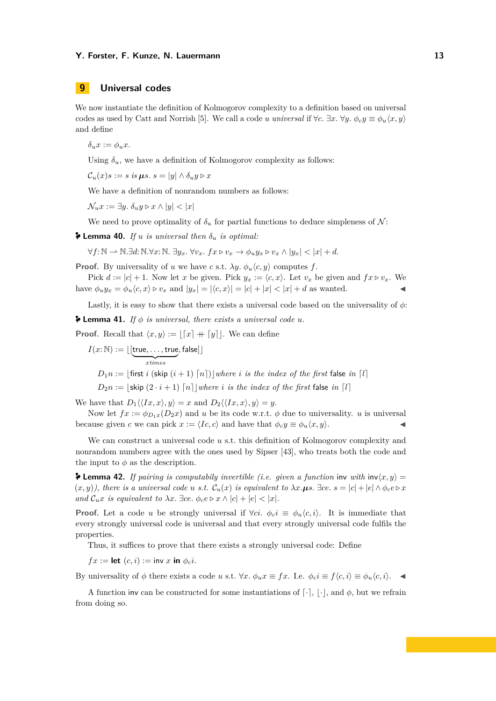# **9 Universal codes**

We now instantiate the definition of Kolmogorov complexity to a definition based on universal codes as used by Catt and Norrish [5]. We call a code *u universal* if  $\forall c$ .  $\exists x. \forall y. \phi_c y \equiv \phi_u(x, y)$ and define

 $\delta_{\nu} x := \phi_{\nu} x.$ 

Using  $\delta_u$ , we have a definition of Kolmogorov complexity as follows:

 $\mathcal{C}_u(x)s := s$  *is*  $\mu s$ .  $s = |y| \wedge \delta_u y \triangleright x$ 

We have a definition of nonrandom numbers as follows:

 $\mathcal{N}_u x := \exists y \in \delta_u y \triangleright x \wedge |y| < |x|$ 

We need to prove optimality of  $\delta_u$  for partial functions to deduce simpleness of N:

**2 [Lemma 40.](https://ps.uni-saarland.de/extras/kolmogorov/coqdoc/Undecidability.Synthetic.Kolmogorov_gen.html#optimal)** *If u is universal then*  $\delta_u$  *is optimal:* 

 $\forall f: \mathbb{N} \to \mathbb{N}.\exists d: \mathbb{N}.\forall x: \mathbb{N}.\exists u_x, \forall v_x, fx \triangleright v_x \to \phi_u u_x \triangleright v_x \wedge |u_x| < |x| + d.$ 

**Proof.** By universality of *u* we have *c* s.t.  $\lambda y$ .  $\phi_u \langle c, y \rangle$  computes *f*.

Pick  $d := |c| + 1$ . Now let *x* be given. Pick  $y_x := \langle c, x \rangle$ . Let  $v_x$  be given and  $fx \triangleright v_x$ . We have  $\phi_u y_x = \phi_u \langle c, x \rangle \triangleright v_x$  and  $|y_x| = |\langle c, x \rangle| = |c| + |x| < |x| + d$  as wanted.

Lastly, it is easy to show that there exists a universal code based on the universality of *ϕ*:

 $\blacktriangleright$  [Lemma 41.](https://ps.uni-saarland.de/extras/kolmogorov/coqdoc/Undecidability.Synthetic.Kolmogorov_gen.html#universal_ex.universal_ex) If  $\phi$  *is universal, there exists a universal code u.* 

**Proof.** Recall that  $\langle x, y \rangle := |x| + |y|$ . We can define

$$
I(x:\mathbb{N}) := \lfloor \underbrace{\text{[true, \dots, true}}_{x \text{times}}, \text{false} \rfloor \rfloor
$$
\n
$$
D_1 n := \lfloor \text{first } i \text{ (skip } (i+1) \lceil n \rceil) \rfloor \text{ where } i \text{ is the index of the first false in } [l]
$$
\n
$$
D_2 n := \lfloor \text{skip } (2 \cdot i + 1) \lceil n \rceil \rfloor \text{ where } i \text{ is the index of the first false in } [l]
$$

We have that  $D_1 \langle \langle Ix, x \rangle, y \rangle = x$  and  $D_2 \langle \langle Ix, x \rangle, y \rangle = y$ .

Now let  $fx := \phi_{D,x}(D_2x)$  and *u* be its code w.r.t.  $\phi$  due to universality. *u* is universal because given *c* we can pick  $x := \langle Ic, c \rangle$  and have that  $\phi_c y \equiv \phi_u \langle x, y \rangle$ .

We can construct a universal code *u* s.t. this definition of Kolmogorov complexity and nonrandom numbers agree with the ones used by Sipser [43], who treats both the code and the input to  $\phi$  as the description.

**F** [Lemma 42.](https://ps.uni-saarland.de/extras/kolmogorov/coqdoc/Undecidability.Synthetic.Kolmogorov_gen.html#strongly_universal_equivalence) If pairing is computabily invertible (i.e. given a function inv with  $\text{inv}(x, y) =$  $(x, y)$ , there is a universal code u s.t.  $\mathcal{C}_u(x)$  is equivalent to  $\lambda x. \mu s.$   $\exists ce.$   $s = |c| + |e| \wedge \phi_c e \triangleright x$ *and*  $\mathcal{C}_u x$  *is equivalent to*  $\lambda x$ .  $\exists c e$ .  $\phi_c e \triangleright x \wedge |c| + |e| < |x|$ .

**Proof.** Let a code *u* be strongly universal if  $\forall ci$ .  $\phi_c i \equiv \phi_u \langle c, i \rangle$ . It is immediate that every strongly universal code is universal and that every strongly universal code fulfils the properties.

Thus, it suffices to prove that there exists a strongly universal code: Define

 $fx := \text{let}(c, i) := \text{inv}(x) \text{ in } \phi_c i.$ 

By universality of  $\phi$  there exists a code *u* s.t.  $\forall x. \ \phi_u x \equiv fx$ . I.e.  $\phi_c i \equiv f \langle c, i \rangle \equiv \phi_u \langle c, i \rangle$ .

A function inv can be constructed for some instantiations of  $[\cdot]$ ,  $[\cdot]$ , and  $\phi$ , but we refrain from doing so.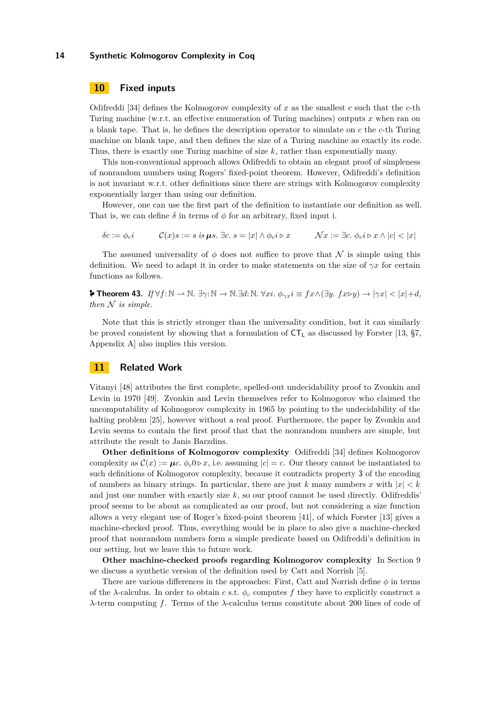## **10 Fixed inputs**

Odifreddi [34] defines the Kolmogorov complexity of *x* as the smallest *c* such that the *c*-th Turing machine (w.r.t. an effective enumeration of Turing machines) outputs *x* when ran on a blank tape. That is, he defines the description operator to simulate on *c* the *c*-th Turing machine on blank tape, and then defines the size of a Turing machine as exactly its code. Thus, there is exactly one Turing machine of size *k*, rather than exponentially many.

This non-conventional approach allows Odifreddi to obtain an elegant proof of simpleness of nonrandom numbers using Rogers' fixed-point theorem. However, Odifreddi's definition is not invariant w.r.t. other definitions since there are strings with Kolmogorov complexity exponentially larger than using our definition.

However, one can use the first part of the definition to instantiate our definition as well. That is, we can define  $\delta$  in terms of  $\phi$  for an arbitrary, fixed input i.

$$
\delta c := \phi_c i \qquad \mathcal{C}(x)s := s \text{ is } \mu s. \exists c. \ s = |x| \land \phi_c i \triangleright x \qquad \mathcal{N}x := \exists c. \ \phi_c i \triangleright x \land |c| < |x|
$$

The assumed universality of  $\phi$  does not suffice to prove that N is simple using this definition. We need to adapt it in order to make statements on the size of *γx* for certain functions as follows.

**[Theorem 43.](https://ps.uni-saarland.de/extras/kolmogorov/coqdoc/Undecidability.Synthetic.Kolmogorov_gen.html#fixed_input.simple_N)** *If* ∀*f*: N *⇀* N*.* ∃*γ*: N → N*.*∃*d*: N*.* ∀*xi. ϕγxi* ≡ *fx*∧(∃*y. fx▷y*) → |*γx*| *<* |*x*|+*d, then* N *is simple.*

Note that this is strictly stronger than the universality condition, but it can similarly be proved consistent by showing that a formulation of  $CT<sub>L</sub>$  as discussed by Forster [13, §7, Appendix A] also implies this version.

## **11 Related Work**

Vitanyi [48] attributes the first complete, spelled-out undecidability proof to Zvonkin and Levin in 1970 [49]. Zvonkin and Levin themselves refer to Kolmogorov who claimed the uncomputability of Kolmogorov complexity in 1965 by pointing to the undecidability of the halting problem [25], however without a real proof. Furthermore, the paper by Zvonkin and Levin seems to contain the first proof that that the nonrandom numbers are simple, but attribute the result to Janis Barzdins.

**Other definitions of Kolmogorov complexity** Odifreddi [34] defines Kolmogorov complexity as  $\mathcal{C}(x) := \mu c$ .  $\phi_c 0 \triangleright x$ , i.e. assuming  $|c| = c$ . Our theory cannot be instantiated to such definitions of Kolmogorov complexity, because it contradicts property **3** of the encoding of numbers as binary strings. In particular, there are just *k* many numbers *x* with  $|x| < k$ and just one number with exactly size *k*, so our proof cannot be used directly. Odifreddis' proof seems to be about as complicated as our proof, but not considering a size function allows a very elegant use of Roger's fixed-point theorem [41], of which Forster [13] gives a machine-checked proof. Thus, everything would be in place to also give a machine-checked proof that nonrandom numbers form a simple predicate based on Odifreddi's definition in our setting, but we leave this to future work.

**Other machine-checked proofs regarding Kolmogorov complexity** In Section 9 we discuss a synthetic version of the definition used by Catt and Norrish [5].

There are various differences in the approaches: First, Catt and Norrish define *ϕ* in terms of the  $\lambda$ -calculus. In order to obtain *c* s.t.  $\phi_c$  computes f they have to explicitly construct a *λ*-term computing *f*. Terms of the *λ*-calculus terms constitute about 200 lines of code of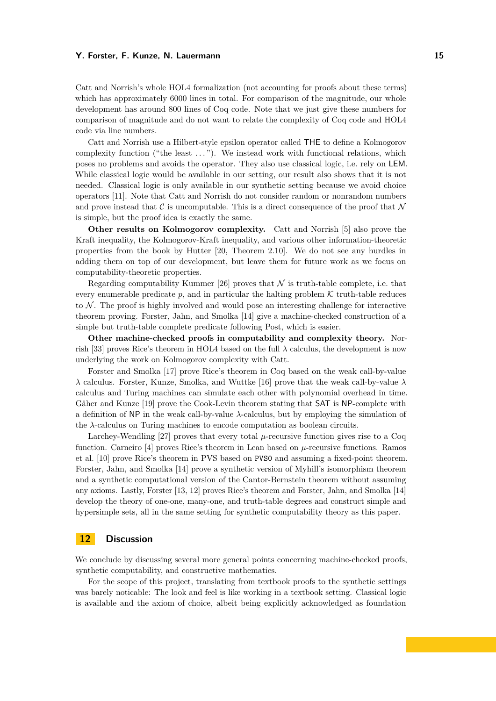Catt and Norrish's whole HOL4 formalization (not accounting for proofs about these terms) which has approximately 6000 lines in total. For comparison of the magnitude, our whole development has around 800 lines of Coq code. Note that we just give these numbers for comparison of magnitude and do not want to relate the complexity of Coq code and HOL4 code via line numbers.

Catt and Norrish use a Hilbert-style epsilon operator called THE to define a Kolmogorov complexity function ("the least . . . "). We instead work with functional relations, which poses no problems and avoids the operator. They also use classical logic, i.e. rely on LEM. While classical logic would be available in our setting, our result also shows that it is not needed. Classical logic is only available in our synthetic setting because we avoid choice operators [11]. Note that Catt and Norrish do not consider random or nonrandom numbers and prove instead that  $\mathcal C$  is uncomputable. This is a direct consequence of the proof that  $\mathcal N$ is simple, but the proof idea is exactly the same.

**Other results on Kolmogorov complexity.** Catt and Norrish [5] also prove the Kraft inequality, the Kolmogorov-Kraft inequality, and various other information-theoretic properties from the book by Hutter [20, Theorem 2.10]. We do not see any hurdles in adding them on top of our development, but leave them for future work as we focus on computability-theoretic properties.

Regarding computability Kummer [26] proves that  $\mathcal N$  is truth-table complete, i.e. that every enumerable predicate  $p$ , and in particular the halting problem  $K$  truth-table reduces to  $N$ . The proof is highly involved and would pose an interesting challenge for interactive theorem proving. Forster, Jahn, and Smolka [14] give a machine-checked construction of a simple but truth-table complete predicate following Post, which is easier.

**Other machine-checked proofs in computability and complexity theory.** Norrish [33] proves Rice's theorem in HOL4 based on the full  $\lambda$  calculus, the development is now underlying the work on Kolmogorov complexity with Catt.

Forster and Smolka [17] prove Rice's theorem in Coq based on the weak call-by-value *λ* calculus. Forster, Kunze, Smolka, and Wuttke [16] prove that the weak call-by-value *λ* calculus and Turing machines can simulate each other with polynomial overhead in time. Gäher and Kunze [19] prove the Cook-Levin theorem stating that SAT is NP-complete with a definition of NP in the weak call-by-value *λ*-calculus, but by employing the simulation of the *λ*-calculus on Turing machines to encode computation as boolean circuits.

Larchey-Wendling [27] proves that every total  $\mu$ -recursive function gives rise to a Coq function. Carneiro [4] proves Rice's theorem in Lean based on *µ*-recursive functions. Ramos et al. [10] prove Rice's theorem in PVS based on PVS0 and assuming a fixed-point theorem. Forster, Jahn, and Smolka [14] prove a synthetic version of Myhill's isomorphism theorem and a synthetic computational version of the Cantor-Bernstein theorem without assuming any axioms. Lastly, Forster [13, 12] proves Rice's theorem and Forster, Jahn, and Smolka [14] develop the theory of one-one, many-one, and truth-table degrees and construct simple and hypersimple sets, all in the same setting for synthetic computability theory as this paper.

## **12 Discussion**

We conclude by discussing several more general points concerning machine-checked proofs, synthetic computability, and constructive mathematics.

For the scope of this project, translating from textbook proofs to the synthetic settings was barely noticable: The look and feel is like working in a textbook setting. Classical logic is available and the axiom of choice, albeit being explicitly acknowledged as foundation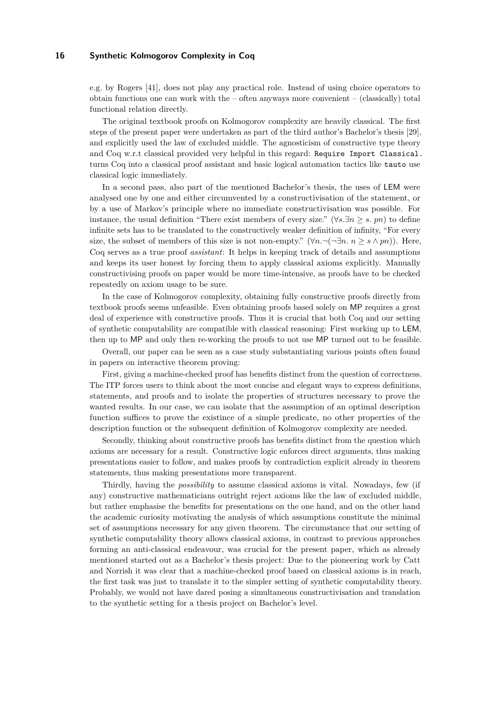e.g. by Rogers [41], does not play any practical role. Instead of using choice operators to obtain functions one can work with the – often anyways more convenient – (classically) total functional relation directly.

The original textbook proofs on Kolmogorov complexity are heavily classical. The first steps of the present paper were undertaken as part of the third author's Bachelor's thesis [29], and explicitly used the law of excluded middle. The agnosticism of constructive type theory and Coq w.r.t classical provided very helpful in this regard: Require Import Classical. turns Coq into a classical proof assistant and basic logical automation tactics like tauto use classical logic immediately.

In a second pass, also part of the mentioned Bachelor's thesis, the uses of LEM were analysed one by one and either circumvented by a constructivisation of the statement, or by a use of Markov's principle where no immediate constructivisation was possible. For instance, the usual definition "There exist members of every size." ( $\forall s.\exists n \geq s$ . pn) to define infinite sets has to be translated to the constructively weaker definition of infinity, "For every size, the subset of members of this size is not non-empty." ( $\forall n.\neg(\neg \exists n.\ n \geq s \land pn)$ ). Here, Coq serves as a true proof *assistant*: It helps in keeping track of details and assumptions and keeps its user honest by forcing them to apply classical axioms explicitly. Manually constructivising proofs on paper would be more time-intensive, as proofs have to be checked repeatedly on axiom usage to be sure.

In the case of Kolmogorov complexity, obtaining fully constructive proofs directly from textbook proofs seems unfeasible. Even obtaining proofs based solely on MP requires a great deal of experience with constructive proofs. Thus it is crucial that both Coq and our setting of synthetic computability are compatible with classical reasoning: First working up to LEM, then up to MP and only then re-working the proofs to not use MP turned out to be feasible.

Overall, our paper can be seen as a case study substantiating various points often found in papers on interactive theorem proving:

First, giving a machine-checked proof has benefits distinct from the question of correctness. The ITP forces users to think about the most concise and elegant ways to express definitions, statements, and proofs and to isolate the properties of structures necessary to prove the wanted results. In our case, we can isolate that the assumption of an optimal description function suffices to prove the existince of a simple predicate, no other properties of the description function or the subsequent definition of Kolmogorov complexity are needed.

Secondly, thinking about constructive proofs has benefits distinct from the question which axioms are necessary for a result. Constructive logic enforces direct arguments, thus making presentations easier to follow, and makes proofs by contradiction explicit already in theorem statements, thus making presentations more transparent.

Thirdly, having the *possibility* to assume classical axioms is vital. Nowadays, few (if any) constructive mathematicians outright reject axioms like the law of excluded middle, but rather emphasise the benefits for presentations on the one hand, and on the other hand the academic curiosity motivating the analysis of which assumptions constitute the minimal set of assumptions necessary for any given theorem. The circumstance that our setting of synthetic computability theory allows classical axioms, in contrast to previous approaches forming an anti-classical endeavour, was crucial for the present paper, which as already mentioned started out as a Bachelor's thesis project: Due to the pioneering work by Catt and Norrish it was clear that a machine-checked proof based on classical axioms is in reach, the first task was just to translate it to the simpler setting of synthetic computability theory. Probably, we would not have dared posing a simultaneous constructivisation and translation to the synthetic setting for a thesis project on Bachelor's level.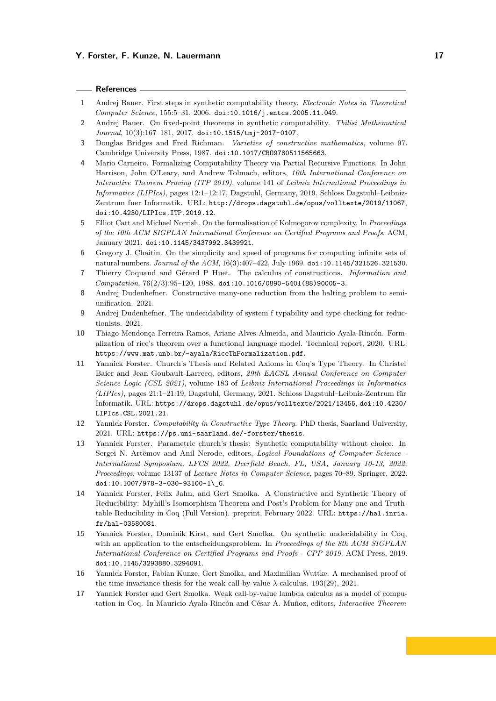### **References**

- **1** Andrej Bauer. First steps in synthetic computability theory. *Electronic Notes in Theoretical Computer Science*, 155:5–31, 2006. [doi:10.1016/j.entcs.2005.11.049](https://doi.org/10.1016/j.entcs.2005.11.049).
- **2** Andrej Bauer. On fixed-point theorems in synthetic computability. *Tbilisi Mathematical Journal*, 10(3):167–181, 2017. [doi:10.1515/tmj-2017-0107](https://doi.org/10.1515/tmj-2017-0107).
- **3** Douglas Bridges and Fred Richman. *Varieties of constructive mathematics*, volume 97. Cambridge University Press, 1987. [doi:10.1017/CBO9780511565663](https://doi.org/10.1017/CBO9780511565663).
- **4** Mario Carneiro. Formalizing Computability Theory via Partial Recursive Functions. In John Harrison, John O'Leary, and Andrew Tolmach, editors, *10th International Conference on Interactive Theorem Proving (ITP 2019)*, volume 141 of *Leibniz International Proceedings in Informatics (LIPIcs)*, pages 12:1–12:17, Dagstuhl, Germany, 2019. Schloss Dagstuhl–Leibniz-Zentrum fuer Informatik. URL: <http://drops.dagstuhl.de/opus/volltexte/2019/11067>, [doi:10.4230/LIPIcs.ITP.2019.12](https://doi.org/10.4230/LIPIcs.ITP.2019.12).
- **5** Elliot Catt and Michael Norrish. On the formalisation of Kolmogorov complexity. In *Proceedings of the 10th ACM SIGPLAN International Conference on Certified Programs and Proofs*. ACM, January 2021. [doi:10.1145/3437992.3439921](https://doi.org/10.1145/3437992.3439921).
- **6** Gregory J. Chaitin. On the simplicity and speed of programs for computing infinite sets of natural numbers. *Journal of the ACM*, 16(3):407–422, July 1969. [doi:10.1145/321526.321530](https://doi.org/10.1145/321526.321530).
- **7** Thierry Coquand and Gérard P Huet. The calculus of constructions. *Information and Computation*, 76(2/3):95–120, 1988. [doi:10.1016/0890-5401\(88\)90005-3](https://doi.org/10.1016/0890-5401(88)90005-3).
- **8** Andrej Dudenhefner. Constructive many-one reduction from the halting problem to semiunification. 2021.
- **9** Andrej Dudenhefner. The undecidability of system f typability and type checking for reductionists. 2021.
- **10** Thiago Mendonça Ferreira Ramos, Ariane Alves Almeida, and Mauricio Ayala-Rincón. Formalization of rice's theorem over a functional language model. Technical report, 2020. URL: <https://www.mat.unb.br/~ayala/RiceThFormalization.pdf>.
- **11** Yannick Forster. Church's Thesis and Related Axioms in Coq's Type Theory. In Christel Baier and Jean Goubault-Larrecq, editors, *29th EACSL Annual Conference on Computer Science Logic (CSL 2021)*, volume 183 of *Leibniz International Proceedings in Informatics (LIPIcs)*, pages 21:1–21:19, Dagstuhl, Germany, 2021. Schloss Dagstuhl–Leibniz-Zentrum für Informatik. URL: <https://drops.dagstuhl.de/opus/volltexte/2021/13455>, [doi:10.4230/](https://doi.org/10.4230/LIPIcs.CSL.2021.21) [LIPIcs.CSL.2021.21](https://doi.org/10.4230/LIPIcs.CSL.2021.21).
- **12** Yannick Forster. *Computability in Constructive Type Theory*. PhD thesis, Saarland University, 2021. URL: <https://ps.uni-saarland.de/~forster/thesis>.
- **13** Yannick Forster. Parametric church's thesis: Synthetic computability without choice. In Sergei N. Artëmov and Anil Nerode, editors, *Logical Foundations of Computer Science - International Symposium, LFCS 2022, Deerfield Beach, FL, USA, January 10-13, 2022, Proceedings*, volume 13137 of *Lecture Notes in Computer Science*, pages 70–89. Springer, 2022. [doi:10.1007/978-3-030-93100-1\\\_6](https://doi.org/10.1007/978-3-030-93100-1_6).
- **14** Yannick Forster, Felix Jahn, and Gert Smolka. A Constructive and Synthetic Theory of Reducibility: Myhill's Isomorphism Theorem and Post's Problem for Many-one and Truthtable Reducibility in Coq (Full Version). preprint, February 2022. URL: [https://hal.inria.](https://hal.inria.fr/hal-03580081) [fr/hal-03580081](https://hal.inria.fr/hal-03580081).
- **15** Yannick Forster, Dominik Kirst, and Gert Smolka. On synthetic undecidability in Coq, with an application to the entscheidungsproblem. In *Proceedings of the 8th ACM SIGPLAN International Conference on Certified Programs and Proofs - CPP 2019*. ACM Press, 2019. [doi:10.1145/3293880.3294091](https://doi.org/10.1145/3293880.3294091).
- **16** Yannick Forster, Fabian Kunze, Gert Smolka, and Maximilian Wuttke. A mechanised proof of the time invariance thesis for the weak call-by-value *λ*-calculus. 193(29), 2021.
- **17** Yannick Forster and Gert Smolka. Weak call-by-value lambda calculus as a model of computation in Coq. In Mauricio Ayala-Rincón and César A. Muñoz, editors, *Interactive Theorem*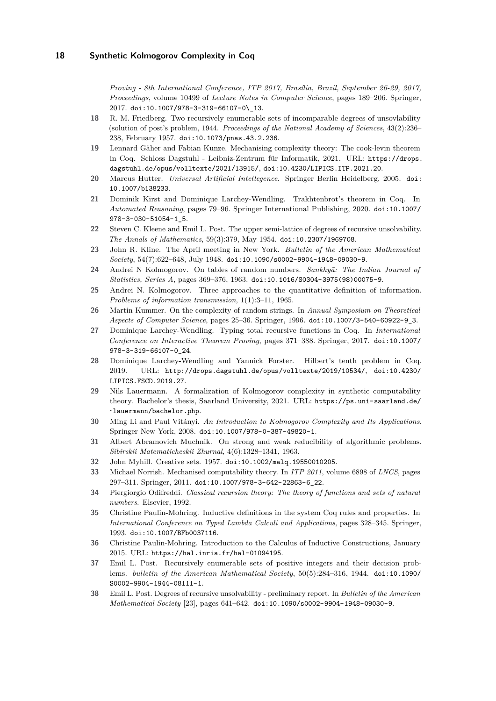*Proving - 8th International Conference, ITP 2017, Brasília, Brazil, September 26-29, 2017, Proceedings*, volume 10499 of *Lecture Notes in Computer Science*, pages 189–206. Springer, 2017. [doi:10.1007/978-3-319-66107-0\\\_13](https://doi.org/10.1007/978-3-319-66107-0_13).

- **18** R. M. Friedberg. Two recursively enumerable sets of incomparable degrees of unsovlability (solution of post's problem, 1944. *Proceedings of the National Academy of Sciences*, 43(2):236– 238, February 1957. [doi:10.1073/pnas.43.2.236](https://doi.org/10.1073/pnas.43.2.236).
- **19** Lennard Gäher and Fabian Kunze. Mechanising complexity theory: The cook-levin theorem in Coq. Schloss Dagstuhl - Leibniz-Zentrum für Informatik, 2021. URL: [https://drops.](https://drops.dagstuhl.de/opus/volltexte/2021/13915/) [dagstuhl.de/opus/volltexte/2021/13915/](https://drops.dagstuhl.de/opus/volltexte/2021/13915/), [doi:10.4230/LIPICS.ITP.2021.20](https://doi.org/10.4230/LIPICS.ITP.2021.20).
- **20** Marcus Hutter. *Universal Artificial Intellegence*. Springer Berlin Heidelberg, 2005. [doi:](https://doi.org/10.1007/b138233) [10.1007/b138233](https://doi.org/10.1007/b138233).
- **21** Dominik Kirst and Dominique Larchey-Wendling. Trakhtenbrot's theorem in Coq. In *Automated Reasoning*, pages 79–96. Springer International Publishing, 2020. [doi:10.1007/](https://doi.org/10.1007/978-3-030-51054-1_5) [978-3-030-51054-1\\_5](https://doi.org/10.1007/978-3-030-51054-1_5).
- **22** Steven C. Kleene and Emil L. Post. The upper semi-lattice of degrees of recursive unsolvability. *The Annals of Mathematics*, 59(3):379, May 1954. [doi:10.2307/1969708](https://doi.org/10.2307/1969708).
- **23** John R. Kline. The April meeting in New York. *Bulletin of the American Mathematical Society*, 54(7):622–648, July 1948. [doi:10.1090/s0002-9904-1948-09030-9](https://doi.org/10.1090/s0002-9904-1948-09030-9).
- 24 Andrei N Kolmogorov. On tables of random numbers. *Sankhyā: The Indian Journal of Statistics, Series A*, pages 369–376, 1963. [doi:10.1016/S0304-3975\(98\)00075-9](https://doi.org/10.1016/S0304-3975(98)00075-9).
- **25** Andrei N. Kolmogorov. Three approaches to the quantitative definition of information. *Problems of information transmission*, 1(1):3–11, 1965.
- **26** Martin Kummer. On the complexity of random strings. In *Annual Symposium on Theoretical Aspects of Computer Science*, pages 25–36. Springer, 1996. [doi:10.1007/3-540-60922-9\\_3](https://doi.org/10.1007/3-540-60922-9_3).
- **27** Dominique Larchey-Wendling. Typing total recursive functions in Coq. In *International Conference on Interactive Theorem Proving*, pages 371–388. Springer, 2017. [doi:10.1007/](https://doi.org/10.1007/978-3-319-66107-0_24) [978-3-319-66107-0\\_24](https://doi.org/10.1007/978-3-319-66107-0_24).
- **28** Dominique Larchey-Wendling and Yannick Forster. Hilbert's tenth problem in Coq. 2019. URL: <http://drops.dagstuhl.de/opus/volltexte/2019/10534/>, [doi:10.4230/](https://doi.org/10.4230/LIPICS.FSCD.2019.27) [LIPICS.FSCD.2019.27](https://doi.org/10.4230/LIPICS.FSCD.2019.27).
- **29** Nils Lauermann. A formalization of Kolmogorov complexity in synthetic computability theory. Bachelor's thesis, Saarland University, 2021. URL: [https://ps.uni-saarland.de/](https://ps.uni-saarland.de/~lauermann/bachelor.php) [~lauermann/bachelor.php](https://ps.uni-saarland.de/~lauermann/bachelor.php).
- **30** Ming Li and Paul Vitányi. *An Introduction to Kolmogorov Complexity and Its Applications*. Springer New York, 2008. [doi:10.1007/978-0-387-49820-1](https://doi.org/10.1007/978-0-387-49820-1).
- **31** Albert Abramovich Muchnik. On strong and weak reducibility of algorithmic problems. *Sibirskii Matematicheskii Zhurnal*, 4(6):1328–1341, 1963.
- **32** John Myhill. Creative sets. 1957. [doi:10.1002/malq.19550010205](https://doi.org/10.1002/malq.19550010205).
- **33** Michael Norrish. Mechanised computability theory. In *ITP 2011*, volume 6898 of *LNCS*, pages 297–311. Springer, 2011. [doi:10.1007/978-3-642-22863-6\\_22](https://doi.org/10.1007/978-3-642-22863-6_22).
- **34** Piergiorgio Odifreddi. *Classical recursion theory: The theory of functions and sets of natural numbers*. Elsevier, 1992.
- **35** Christine Paulin-Mohring. Inductive definitions in the system Coq rules and properties. In *International Conference on Typed Lambda Calculi and Applications*, pages 328–345. Springer, 1993. [doi:10.1007/BFb0037116](https://doi.org/10.1007/BFb0037116).
- **36** Christine Paulin-Mohring. Introduction to the Calculus of Inductive Constructions, January 2015. URL: <https://hal.inria.fr/hal-01094195>.
- **37** Emil L. Post. Recursively enumerable sets of positive integers and their decision problems. *bulletin of the American Mathematical Society*, 50(5):284–316, 1944. [doi:10.1090/](https://doi.org/10.1090/S0002-9904-1944-08111-1) [S0002-9904-1944-08111-1](https://doi.org/10.1090/S0002-9904-1944-08111-1).
- **38** Emil L. Post. Degrees of recursive unsolvability preliminary report. In *Bulletin of the American Mathematical Society* [23], pages 641–642. [doi:10.1090/s0002-9904-1948-09030-9](https://doi.org/10.1090/s0002-9904-1948-09030-9).